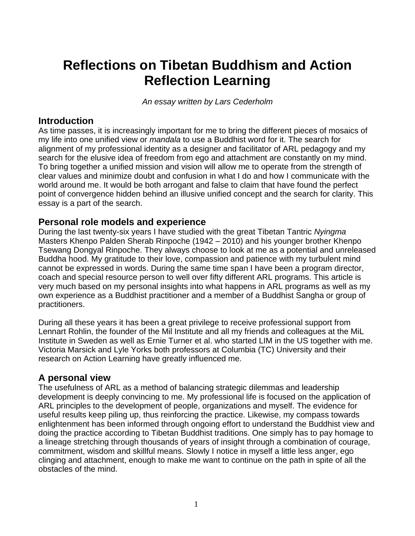# **Reflections on Tibetan Buddhism and Action Reflection Learning**

*An essay written by Lars Cederholm*

#### **Introduction**

As time passes, it is increasingly important for me to bring the different pieces of mosaics of my life into one unified view or *mandala* to use a Buddhist word for it. The search for alignment of my professional identity as a designer and facilitator of ARL pedagogy and my search for the elusive idea of freedom from ego and attachment are constantly on my mind. To bring together a unified mission and vision will allow me to operate from the strength of clear values and minimize doubt and confusion in what I do and how I communicate with the world around me. It would be both arrogant and false to claim that have found the perfect point of convergence hidden behind an illusive unified concept and the search for clarity. This essay is a part of the search.

#### **Personal role models and experience**

During the last twenty-six years I have studied with the great Tibetan Tantric *Nyingma* Masters Khenpo Palden Sherab Rinpoche (1942 – 2010) and his younger brother Khenpo Tsewang Dongyal Rinpoche. They always choose to look at me as a potential and unreleased Buddha hood. My gratitude to their love, compassion and patience with my turbulent mind cannot be expressed in words. During the same time span I have been a program director, coach and special resource person to well over fifty different ARL programs. This article is very much based on my personal insights into what happens in ARL programs as well as my own experience as a Buddhist practitioner and a member of a Buddhist Sangha or group of practitioners.

During all these years it has been a great privilege to receive professional support from Lennart Rohlin, the founder of the Mil Institute and all my friends and colleagues at the MiL Institute in Sweden as well as Ernie Turner et al. who started LIM in the US together with me. Victoria Marsick and Lyle Yorks both professors at Columbia (TC) University and their research on Action Learning have greatly influenced me.

#### **A personal view**

The usefulness of ARL as a method of balancing strategic dilemmas and leadership development is deeply convincing to me. My professional life is focused on the application of ARL principles to the development of people, organizations and myself. The evidence for useful results keep piling up, thus reinforcing the practice. Likewise, my compass towards enlightenment has been informed through ongoing effort to understand the Buddhist view and doing the practice according to Tibetan Buddhist traditions. One simply has to pay homage to a lineage stretching through thousands of years of insight through a combination of courage, commitment, wisdom and skillful means. Slowly I notice in myself a little less anger, ego clinging and attachment, enough to make me want to continue on the path in spite of all the obstacles of the mind.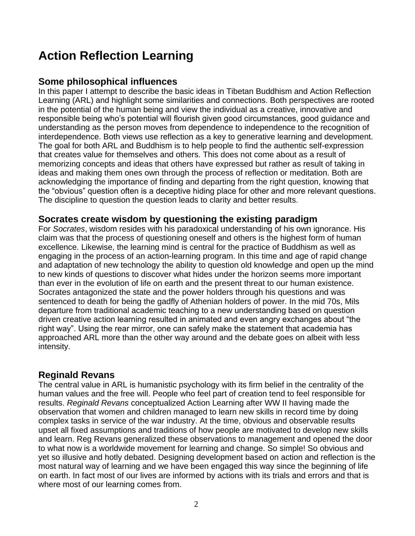# **Action Reflection Learning**

## **Some philosophical influences**

In this paper I attempt to describe the basic ideas in Tibetan Buddhism and Action Reflection Learning (ARL) and highlight some similarities and connections. Both perspectives are rooted in the potential of the human being and view the individual as a creative, innovative and responsible being who's potential will flourish given good circumstances, good guidance and understanding as the person moves from dependence to independence to the recognition of interdependence. Both views use reflection as a key to generative learning and development. The goal for both ARL and Buddhism is to help people to find the authentic self-expression that creates value for themselves and others. This does not come about as a result of memorizing concepts and ideas that others have expressed but rather as result of taking in ideas and making them ones own through the process of reflection or meditation. Both are acknowledging the importance of finding and departing from the right question, knowing that the "obvious" question often is a deceptive hiding place for other and more relevant questions. The discipline to question the question leads to clarity and better results.

#### **Socrates create wisdom by questioning the existing paradigm**

For *Socrates*, wisdom resides with his paradoxical understanding of his own ignorance. His claim was that the process of questioning oneself and others is the highest form of human excellence. Likewise, the learning mind is central for the practice of Buddhism as well as engaging in the process of an action-learning program. In this time and age of rapid change and adaptation of new technology the ability to question old knowledge and open up the mind to new kinds of questions to discover what hides under the horizon seems more important than ever in the evolution of life on earth and the present threat to our human existence. Socrates antagonized the state and the power holders through his questions and was sentenced to death for being the gadfly of Athenian holders of power. In the mid 70s, Mils departure from traditional academic teaching to a new understanding based on question driven creative action learning resulted in animated and even angry exchanges about "the right way". Using the rear mirror, one can safely make the statement that academia has approached ARL more than the other way around and the debate goes on albeit with less intensity.

## **Reginald Revans**

The central value in ARL is humanistic psychology with its firm belief in the centrality of the human values and the free will. People who feel part of creation tend to feel responsible for results. *Reginald Revans* conceptualized Action Learning after WW II having made the observation that women and children managed to learn new skills in record time by doing complex tasks in service of the war industry. At the time, obvious and observable results upset all fixed assumptions and traditions of how people are motivated to develop new skills and learn. Reg Revans generalized these observations to management and opened the door to what now is a worldwide movement for learning and change. So simple! So obvious and yet so illusive and hotly debated. Designing development based on action and reflection is the most natural way of learning and we have been engaged this way since the beginning of life on earth. In fact most of our lives are informed by actions with its trials and errors and that is where most of our learning comes from.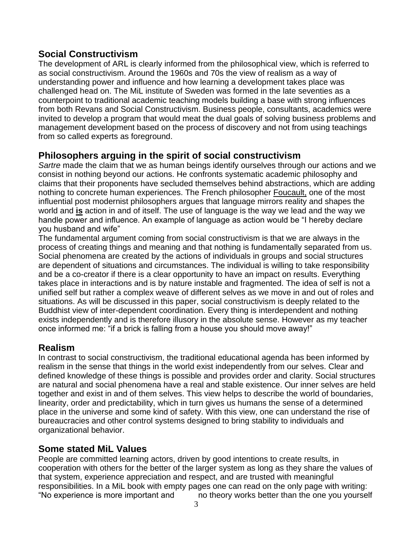## **Social Constructivism**

The development of ARL is clearly informed from the philosophical view, which is referred to as social constructivism. Around the 1960s and 70s the view of realism as a way of understanding power and influence and how learning a development takes place was challenged head on. The MiL institute of Sweden was formed in the late seventies as a counterpoint to traditional academic teaching models building a base with strong influences from both Revans and Social Constructivism. Business people, consultants, academics were invited to develop a program that would meat the dual goals of solving business problems and management development based on the process of discovery and not from using teachings from so called experts as foreground.

## **Philosophers arguing in the spirit of social constructivism**

*Sartre* made the claim that we as human beings identify ourselves through our actions and we consist in nothing beyond our actions. He confronts systematic academic philosophy and claims that their proponents have secluded themselves behind abstractions, which are adding nothing to concrete human experiences. The French philosopher Foucault, one of the most influential post modernist philosophers argues that language mirrors reality and shapes the world and **is** action in and of itself. The use of language is the way we lead and the way we handle power and influence. An example of language as action would be "I hereby declare you husband and wife"

The fundamental argument coming from social constructivism is that we are always in the process of creating things and meaning and that nothing is fundamentally separated from us. Social phenomena are created by the actions of individuals in groups and social structures are dependent of situations and circumstances. The individual is willing to take responsibility and be a co-creator if there is a clear opportunity to have an impact on results. Everything takes place in interactions and is by nature instable and fragmented. The idea of self is not a unified self but rather a complex weave of different selves as we move in and out of roles and situations. As will be discussed in this paper, social constructivism is deeply related to the Buddhist view of inter-dependent coordination. Every thing is interdependent and nothing exists independently and is therefore illusory in the absolute sense. However as my teacher once informed me: "if a brick is falling from a house you should move away!"

## **Realism**

In contrast to social constructivism, the traditional educational agenda has been informed by realism in the sense that things in the world exist independently from our selves. Clear and defined knowledge of these things is possible and provides order and clarity. Social structures are natural and social phenomena have a real and stable existence. Our inner selves are held together and exist in and of them selves. This view helps to describe the world of boundaries, linearity, order and predictability, which in turn gives us humans the sense of a determined place in the universe and some kind of safety. With this view, one can understand the rise of bureaucracies and other control systems designed to bring stability to individuals and organizational behavior.

## **Some stated MiL Values**

People are committed learning actors, driven by good intentions to create results, in cooperation with others for the better of the larger system as long as they share the values of that system, experience appreciation and respect, and are trusted with meaningful responsibilities. In a MiL book with empty pages one can read on the only page with writing: "No experience is more important and no theory works better than the one you yourself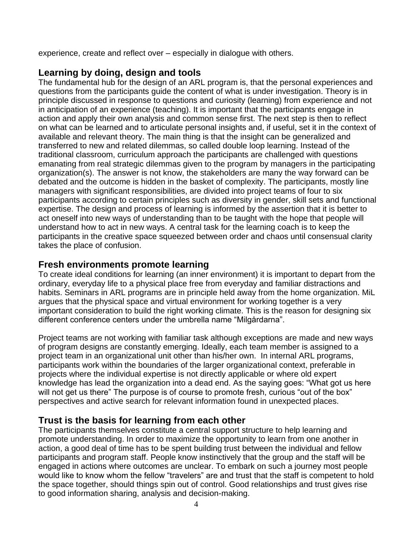experience, create and reflect over – especially in dialogue with others.

# **Learning by doing, design and tools**

The fundamental hub for the design of an ARL program is, that the personal experiences and questions from the participants guide the content of what is under investigation. Theory is in principle discussed in response to questions and curiosity (learning) from experience and not in anticipation of an experience (teaching). It is important that the participants engage in action and apply their own analysis and common sense first. The next step is then to reflect on what can be learned and to articulate personal insights and, if useful, set it in the context of available and relevant theory. The main thing is that the insight can be generalized and transferred to new and related dilemmas, so called double loop learning. Instead of the traditional classroom, curriculum approach the participants are challenged with questions emanating from real strategic dilemmas given to the program by managers in the participating organization(s). The answer is not know, the stakeholders are many the way forward can be debated and the outcome is hidden in the basket of complexity. The participants, mostly line managers with significant responsibilities, are divided into project teams of four to six participants according to certain principles such as diversity in gender, skill sets and functional expertise. The design and process of learning is informed by the assertion that it is better to act oneself into new ways of understanding than to be taught with the hope that people will understand how to act in new ways. A central task for the learning coach is to keep the participants in the creative space squeezed between order and chaos until consensual clarity takes the place of confusion.

## **Fresh environments promote learning**

To create ideal conditions for learning (an inner environment) it is important to depart from the ordinary, everyday life to a physical place free from everyday and familiar distractions and habits. Seminars in ARL programs are in principle held away from the home organization. MiL argues that the physical space and virtual environment for working together is a very important consideration to build the right working climate. This is the reason for designing six different conference centers under the umbrella name "Milgårdarna".

Project teams are not working with familiar task although exceptions are made and new ways of program designs are constantly emerging. Ideally, each team member is assigned to a project team in an organizational unit other than his/her own. In internal ARL programs, participants work within the boundaries of the larger organizational context, preferable in projects where the individual expertise is not directly applicable or where old expert knowledge has lead the organization into a dead end. As the saying goes: "What got us here will not get us there" The purpose is of course to promote fresh, curious "out of the box" perspectives and active search for relevant information found in unexpected places.

### **Trust is the basis for learning from each other**

The participants themselves constitute a central support structure to help learning and promote understanding. In order to maximize the opportunity to learn from one another in action, a good deal of time has to be spent building trust between the individual and fellow participants and program staff. People know instinctively that the group and the staff will be engaged in actions where outcomes are unclear. To embark on such a journey most people would like to know whom the fellow "travelers" are and trust that the staff is competent to hold the space together, should things spin out of control. Good relationships and trust gives rise to good information sharing, analysis and decision-making.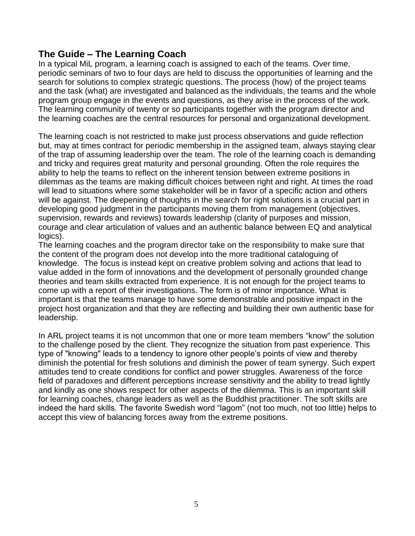## **The Guide – The Learning Coach**

In a typical MiL program, a learning coach is assigned to each of the teams. Over time, periodic seminars of two to four days are held to discuss the opportunities of learning and the search for solutions to complex strategic questions. The process (how) of the project teams and the task (what) are investigated and balanced as the individuals, the teams and the whole program group engage in the events and questions, as they arise in the process of the work. The learning community of twenty or so participants together with the program director and the learning coaches are the central resources for personal and organizational development.

The learning coach is not restricted to make just process observations and guide reflection but, may at times contract for periodic membership in the assigned team, always staying clear of the trap of assuming leadership over the team. The role of the learning coach is demanding and tricky and requires great maturity and personal grounding. Often the role requires the ability to help the teams to reflect on the inherent tension between extreme positions in dilemmas as the teams are making difficult choices between right and right. At times the road will lead to situations where some stakeholder will be in favor of a specific action and others will be against. The deepening of thoughts in the search for right solutions is a crucial part in developing good judgment in the participants moving them from management (objectives, supervision, rewards and reviews) towards leadership (clarity of purposes and mission, courage and clear articulation of values and an authentic balance between EQ and analytical logics).

The learning coaches and the program director take on the responsibility to make sure that the content of the program does not develop into the more traditional cataloguing of knowledge. The focus is instead kept on creative problem solving and actions that lead to value added in the form of innovations and the development of personally grounded change theories and team skills extracted from experience. It is not enough for the project teams to come up with a report of their investigations. The form is of minor importance. What is important is that the teams manage to have some demonstrable and positive impact in the project host organization and that they are reflecting and building their own authentic base for leadership.

In ARL project teams it is not uncommon that one or more team members "know" the solution to the challenge posed by the client. They recognize the situation from past experience. This type of "knowing" leads to a tendency to ignore other people's points of view and thereby diminish the potential for fresh solutions and diminish the power of team synergy. Such expert attitudes tend to create conditions for conflict and power struggles. Awareness of the force field of paradoxes and different perceptions increase sensitivity and the ability to tread lightly and kindly as one shows respect for other aspects of the dilemma. This is an important skill for learning coaches, change leaders as well as the Buddhist practitioner. The soft skills are indeed the hard skills. The favorite Swedish word "lagom" (not too much, not too little) helps to accept this view of balancing forces away from the extreme positions.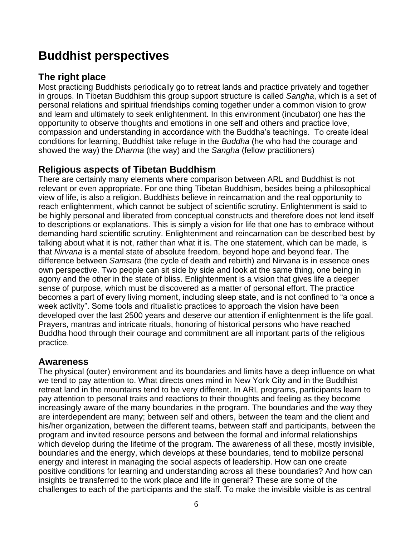# **Buddhist perspectives**

# **The right place**

Most practicing Buddhists periodically go to retreat lands and practice privately and together in groups. In Tibetan Buddhism this group support structure is called *Sangha*, which is a set of personal relations and spiritual friendships coming together under a common vision to grow and learn and ultimately to seek enlightenment. In this environment (incubator) one has the opportunity to observe thoughts and emotions in one self and others and practice love, compassion and understanding in accordance with the Buddha's teachings. To create ideal conditions for learning, Buddhist take refuge in the *Buddha* (he who had the courage and showed the way) the *Dharma* (the way) and the *Sangha* (fellow practitioners)

## **Religious aspects of Tibetan Buddhism**

There are certainly many elements where comparison between ARL and Buddhist is not relevant or even appropriate. For one thing Tibetan Buddhism, besides being a philosophical view of life, is also a religion. Buddhists believe in reincarnation and the real opportunity to reach enlightenment, which cannot be subject of scientific scrutiny. Enlightenment is said to be highly personal and liberated from conceptual constructs and therefore does not lend itself to descriptions or explanations. This is simply a vision for life that one has to embrace without demanding hard scientific scrutiny. Enlightenment and reincarnation can be described best by talking about what it is not, rather than what it is. The one statement, which can be made, is that *Nirvana* is a mental state of absolute freedom, beyond hope and beyond fear. The difference between *Samsara* (the cycle of death and rebirth) and Nirvana is in essence ones own perspective. Two people can sit side by side and look at the same thing, one being in agony and the other in the state of bliss. Enlightenment is a vision that gives life a deeper sense of purpose, which must be discovered as a matter of personal effort. The practice becomes a part of every living moment, including sleep state, and is not confined to "a once a week activity". Some tools and ritualistic practices to approach the vision have been developed over the last 2500 years and deserve our attention if enlightenment is the life goal. Prayers, mantras and intricate rituals, honoring of historical persons who have reached Buddha hood through their courage and commitment are all important parts of the religious practice.

### **Awareness**

The physical (outer) environment and its boundaries and limits have a deep influence on what we tend to pay attention to. What directs ones mind in New York City and in the Buddhist retreat land in the mountains tend to be very different. In ARL programs, participants learn to pay attention to personal traits and reactions to their thoughts and feeling as they become increasingly aware of the many boundaries in the program. The boundaries and the way they are interdependent are many; between self and others, between the team and the client and his/her organization, between the different teams, between staff and participants, between the program and invited resource persons and between the formal and informal relationships which develop during the lifetime of the program. The awareness of all these, mostly invisible, boundaries and the energy, which develops at these boundaries, tend to mobilize personal energy and interest in managing the social aspects of leadership. How can one create positive conditions for learning and understanding across all these boundaries? And how can insights be transferred to the work place and life in general? These are some of the challenges to each of the participants and the staff. To make the invisible visible is as central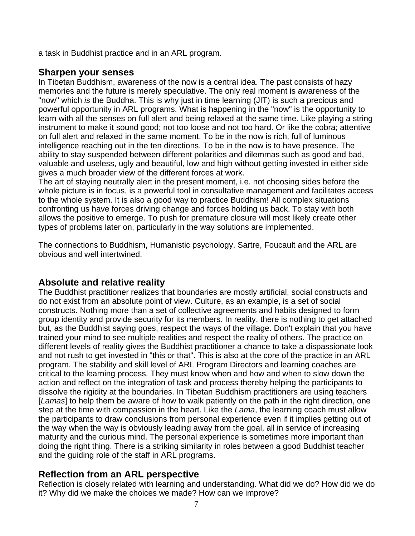a task in Buddhist practice and in an ARL program.

### **Sharpen your senses**

In Tibetan Buddhism, awareness of the now is a central idea. The past consists of hazy memories and the future is merely speculative. The only real moment is awareness of the "now" which *is* the Buddha. This is why just in time learning (JIT) is such a precious and powerful opportunity in ARL programs. What is happening in the "now" is the opportunity to learn with all the senses on full alert and being relaxed at the same time. Like playing a string instrument to make it sound good; not too loose and not too hard. Or like the cobra; attentive on full alert and relaxed in the same moment. To be in the now is rich, full of luminous intelligence reaching out in the ten directions. To be in the now is to have presence. The ability to stay suspended between different polarities and dilemmas such as good and bad, valuable and useless, ugly and beautiful, low and high without getting invested in either side gives a much broader view of the different forces at work.

The art of staying neutrally alert in the present moment, i.e. not choosing sides before the whole picture is in focus, is a powerful tool in consultative management and facilitates access to the whole system. It is also a good way to practice Buddhism! All complex situations confronting us have forces driving change and forces holding us back. To stay with both allows the positive to emerge. To push for premature closure will most likely create other types of problems later on, particularly in the way solutions are implemented.

The connections to Buddhism, Humanistic psychology, Sartre, Foucault and the ARL are obvious and well intertwined.

### **Absolute and relative reality**

The Buddhist practitioner realizes that boundaries are mostly artificial, social constructs and do not exist from an absolute point of view. Culture, as an example, is a set of social constructs. Nothing more than a set of collective agreements and habits designed to form group identity and provide security for its members. In reality, there is nothing to get attached but, as the Buddhist saying goes, respect the ways of the village. Don't explain that you have trained your mind to see multiple realities and respect the reality of others. The practice on different levels of reality gives the Buddhist practitioner a chance to take a dispassionate look and not rush to get invested in "this or that". This is also at the core of the practice in an ARL program. The stability and skill level of ARL Program Directors and learning coaches are critical to the learning process. They must know when and how and when to slow down the action and reflect on the integration of task and process thereby helping the participants to dissolve the rigidity at the boundaries. In Tibetan Buddhism practitioners are using teachers [*Lamas*] to help them be aware of how to walk patiently on the path in the right direction, one step at the time with compassion in the heart. Like the *Lama*, the learning coach must allow the participants to draw conclusions from personal experience even if it implies getting out of the way when the way is obviously leading away from the goal, all in service of increasing maturity and the curious mind. The personal experience is sometimes more important than doing the right thing. There is a striking similarity in roles between a good Buddhist teacher and the guiding role of the staff in ARL programs.

## **Reflection from an ARL perspective**

Reflection is closely related with learning and understanding. What did we do? How did we do it? Why did we make the choices we made? How can we improve?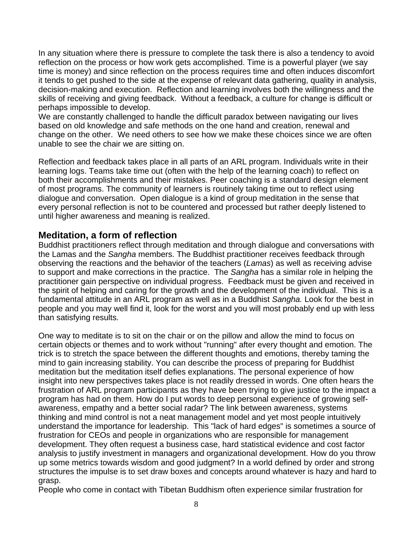In any situation where there is pressure to complete the task there is also a tendency to avoid reflection on the process or how work gets accomplished. Time is a powerful player (we say time is money) and since reflection on the process requires time and often induces discomfort it tends to get pushed to the side at the expense of relevant data gathering, quality in analysis, decision-making and execution. Reflection and learning involves both the willingness and the skills of receiving and giving feedback. Without a feedback, a culture for change is difficult or perhaps impossible to develop.

We are constantly challenged to handle the difficult paradox between navigating our lives based on old knowledge and safe methods on the one hand and creation, renewal and change on the other. We need others to see how we make these choices since we are often unable to see the chair we are sitting on.

Reflection and feedback takes place in all parts of an ARL program. Individuals write in their learning logs. Teams take time out (often with the help of the learning coach) to reflect on both their accomplishments and their mistakes. Peer coaching is a standard design element of most programs. The community of learners is routinely taking time out to reflect using dialogue and conversation. Open dialogue is a kind of group meditation in the sense that every personal reflection is not to be countered and processed but rather deeply listened to until higher awareness and meaning is realized.

#### **Meditation, a form of reflection**

Buddhist practitioners reflect through meditation and through dialogue and conversations with the Lamas and the *Sangha* members. The Buddhist practitioner receives feedback through observing the reactions and the behavior of the teachers (*Lamas*) as well as receiving advise to support and make corrections in the practice. The *Sangha* has a similar role in helping the practitioner gain perspective on individual progress. Feedback must be given and received in the spirit of helping and caring for the growth and the development of the individual. This is a fundamental attitude in an ARL program as well as in a Buddhist *Sangha.* Look for the best in people and you may well find it, look for the worst and you will most probably end up with less than satisfying results.

One way to meditate is to sit on the chair or on the pillow and allow the mind to focus on certain objects or themes and to work without "running" after every thought and emotion. The trick is to stretch the space between the different thoughts and emotions, thereby taming the mind to gain increasing stability. You can describe the process of preparing for Buddhist meditation but the meditation itself defies explanations. The personal experience of how insight into new perspectives takes place is not readily dressed in words. One often hears the frustration of ARL program participants as they have been trying to give justice to the impact a program has had on them. How do I put words to deep personal experience of growing selfawareness, empathy and a better social radar? The link between awareness, systems thinking and mind control is not a neat management model and yet most people intuitively understand the importance for leadership. This "lack of hard edges" is sometimes a source of frustration for CEOs and people in organizations who are responsible for management development. They often request a business case, hard statistical evidence and cost factor analysis to justify investment in managers and organizational development. How do you throw up some metrics towards wisdom and good judgment? In a world defined by order and strong structures the impulse is to set draw boxes and concepts around whatever is hazy and hard to grasp.

People who come in contact with Tibetan Buddhism often experience similar frustration for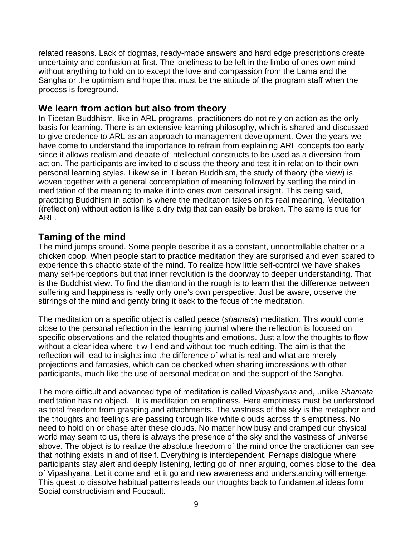related reasons. Lack of dogmas, ready-made answers and hard edge prescriptions create uncertainty and confusion at first. The loneliness to be left in the limbo of ones own mind without anything to hold on to except the love and compassion from the Lama and the Sangha or the optimism and hope that must be the attitude of the program staff when the process is foreground.

## **We learn from action but also from theory**

In Tibetan Buddhism, like in ARL programs, practitioners do not rely on action as the only basis for learning. There is an extensive learning philosophy, which is shared and discussed to give credence to ARL as an approach to management development. Over the years we have come to understand the importance to refrain from explaining ARL concepts too early since it allows realism and debate of intellectual constructs to be used as a diversion from action. The participants are invited to discuss the theory and test it in relation to their own personal learning styles. Likewise in Tibetan Buddhism, the study of theory (the view) is woven together with a general contemplation of meaning followed by settling the mind in meditation of the meaning to make it into ones own personal insight. This being said, practicing Buddhism in action is where the meditation takes on its real meaning. Meditation ((reflection) without action is like a dry twig that can easily be broken. The same is true for ARL.

## **Taming of the mind**

The mind jumps around. Some people describe it as a constant, uncontrollable chatter or a chicken coop. When people start to practice meditation they are surprised and even scared to experience this chaotic state of the mind. To realize how little self-control we have shakes many self-perceptions but that inner revolution is the doorway to deeper understanding. That is the Buddhist view. To find the diamond in the rough is to learn that the difference between suffering and happiness is really only one's own perspective. Just be aware, observe the stirrings of the mind and gently bring it back to the focus of the meditation.

The meditation on a specific object is called peace (*shamata*) meditation. This would come close to the personal reflection in the learning journal where the reflection is focused on specific observations and the related thoughts and emotions. Just allow the thoughts to flow without a clear idea where it will end and without too much editing. The aim is that the reflection will lead to insights into the difference of what is real and what are merely projections and fantasies, which can be checked when sharing impressions with other participants, much like the use of personal meditation and the support of the Sangha.

The more difficult and advanced type of meditation is called *Vipashyana* and, unlike *Shamata* meditation has no object. It is meditation on emptiness. Here emptiness must be understood as total freedom from grasping and attachments. The vastness of the sky is the metaphor and the thoughts and feelings are passing through like white clouds across this emptiness. No need to hold on or chase after these clouds. No matter how busy and cramped our physical world may seem to us, there is always the presence of the sky and the vastness of universe above. The object is to realize the absolute freedom of the mind once the practitioner can see that nothing exists in and of itself. Everything is interdependent. Perhaps dialogue where participants stay alert and deeply listening, letting go of inner arguing, comes close to the idea of Vipashyana. Let it come and let it go and new awareness and understanding will emerge. This quest to dissolve habitual patterns leads our thoughts back to fundamental ideas form Social constructivism and Foucault.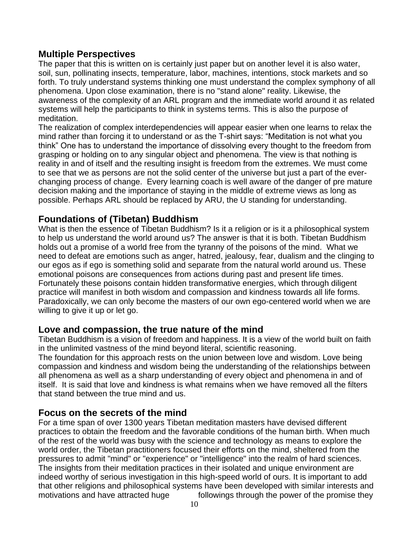## **Multiple Perspectives**

The paper that this is written on is certainly just paper but on another level it is also water, soil, sun, pollinating insects, temperature, labor, machines, intentions, stock markets and so forth. To truly understand systems thinking one must understand the complex symphony of all phenomena. Upon close examination, there is no "stand alone" reality. Likewise, the awareness of the complexity of an ARL program and the immediate world around it as related systems will help the participants to think in systems terms. This is also the purpose of meditation.

The realization of complex interdependencies will appear easier when one learns to relax the mind rather than forcing it to understand or as the T-shirt says: "Meditation is not what you think" One has to understand the importance of dissolving every thought to the freedom from grasping or holding on to any singular object and phenomena. The view is that nothing is reality in and of itself and the resulting insight is freedom from the extremes. We must come to see that we as persons are not the solid center of the universe but just a part of the everchanging process of change. Every learning coach is well aware of the danger of pre mature decision making and the importance of staying in the middle of extreme views as long as possible. Perhaps ARL should be replaced by ARU, the U standing for understanding.

## **Foundations of (Tibetan) Buddhism**

What is then the essence of Tibetan Buddhism? Is it a religion or is it a philosophical system to help us understand the world around us? The answer is that it is both. Tibetan Buddhism holds out a promise of a world free from the tyranny of the poisons of the mind. What we need to defeat are emotions such as anger, hatred, jealousy, fear, dualism and the clinging to our egos as if ego is something solid and separate from the natural world around us. These emotional poisons are consequences from actions during past and present life times. Fortunately these poisons contain hidden transformative energies, which through diligent practice will manifest in both wisdom and compassion and kindness towards all life forms. Paradoxically, we can only become the masters of our own ego-centered world when we are willing to give it up or let go.

### **Love and compassion, the true nature of the mind**

Tibetan Buddhism is a vision of freedom and happiness. It is a view of the world built on faith in the unlimited vastness of the mind beyond literal, scientific reasoning.

The foundation for this approach rests on the union between love and wisdom. Love being compassion and kindness and wisdom being the understanding of the relationships between all phenomena as well as a sharp understanding of every object and phenomena in and of itself. It is said that love and kindness is what remains when we have removed all the filters that stand between the true mind and us.

### **Focus on the secrets of the mind**

For a time span of over 1300 years Tibetan meditation masters have devised different practices to obtain the freedom and the favorable conditions of the human birth. When much of the rest of the world was busy with the science and technology as means to explore the world order, the Tibetan practitioners focused their efforts on the mind, sheltered from the pressures to admit "mind" or "experience" or "intelligence" into the realm of hard sciences. The insights from their meditation practices in their isolated and unique environment are indeed worthy of serious investigation in this high-speed world of ours. It is important to add that other religions and philosophical systems have been developed with similar interests and motivations and have attracted huge followings through the power of the promise they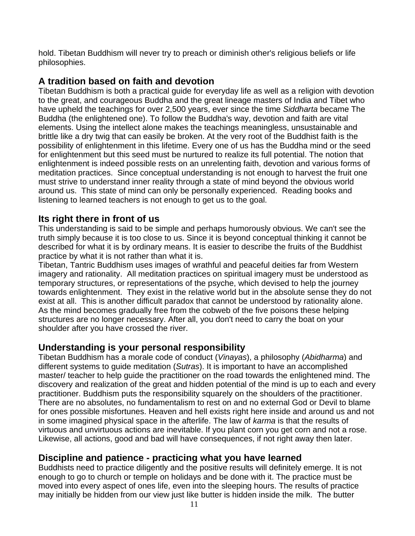hold. Tibetan Buddhism will never try to preach or diminish other's religious beliefs or life philosophies.

# **A tradition based on faith and devotion**

Tibetan Buddhism is both a practical guide for everyday life as well as a religion with devotion to the great, and courageous Buddha and the great lineage masters of India and Tibet who have upheld the teachings for over 2,500 years, ever since the time *Siddharta* became The Buddha (the enlightened one). To follow the Buddha's way, devotion and faith are vital elements. Using the intellect alone makes the teachings meaningless, unsustainable and brittle like a dry twig that can easily be broken. At the very root of the Buddhist faith is the possibility of enlightenment in this lifetime. Every one of us has the Buddha mind or the seed for enlightenment but this seed must be nurtured to realize its full potential. The notion that enlightenment is indeed possible rests on an unrelenting faith, devotion and various forms of meditation practices. Since conceptual understanding is not enough to harvest the fruit one must strive to understand inner reality through a state of mind beyond the obvious world around us. This state of mind can only be personally experienced. Reading books and listening to learned teachers is not enough to get us to the goal.

## **Its right there in front of us**

This understanding is said to be simple and perhaps humorously obvious. We can't see the truth simply because it is too close to us. Since it is beyond conceptual thinking it cannot be described for what it is by ordinary means. It is easier to describe the fruits of the Buddhist practice by what it is not rather than what it is.

Tibetan, Tantric Buddhism uses images of wrathful and peaceful deities far from Western imagery and rationality. All meditation practices on spiritual imagery must be understood as temporary structures, or representations of the psyche, which devised to help the journey towards enlightenment. They exist in the relative world but in the absolute sense they do not exist at all. This is another difficult paradox that cannot be understood by rationality alone. As the mind becomes gradually free from the cobweb of the five poisons these helping structures are no longer necessary. After all, you don't need to carry the boat on your shoulder after you have crossed the river.

## **Understanding is your personal responsibility**

Tibetan Buddhism has a morale code of conduct (*Vinayas*), a philosophy (*Abidharma*) and different systems to guide meditation (*Sutras*). It is important to have an accomplished master/ teacher to help guide the practitioner on the road towards the enlightened mind. The discovery and realization of the great and hidden potential of the mind is up to each and every practitioner. Buddhism puts the responsibility squarely on the shoulders of the practitioner. There are no absolutes, no fundamentalism to rest on and no external God or Devil to blame for ones possible misfortunes. Heaven and hell exists right here inside and around us and not in some imagined physical space in the afterlife. The law of *karma* is that the results of virtuous and unvirtuous actions are inevitable. If you plant corn you get corn and not a rose. Likewise, all actions, good and bad will have consequences, if not right away then later.

## **Discipline and patience - practicing what you have learned**

Buddhists need to practice diligently and the positive results will definitely emerge. It is not enough to go to church or temple on holidays and be done with it. The practice must be moved into every aspect of ones life, even into the sleeping hours. The results of practice may initially be hidden from our view just like butter is hidden inside the milk. The butter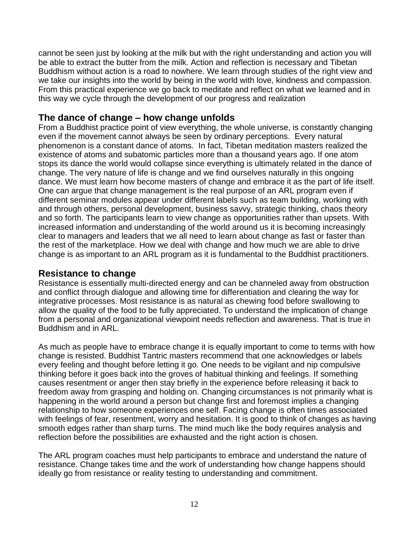cannot be seen just by looking at the milk but with the right understanding and action you will be able to extract the butter from the milk. Action and reflection is necessary and Tibetan Buddhism without action is a road to nowhere. We learn through studies of the right view and we take our insights into the world by being in the world with love, kindness and compassion. From this practical experience we go back to meditate and reflect on what we learned and in this way we cycle through the development of our progress and realization

## **The dance of change – how change unfolds**

From a Buddhist practice point of view everything, the whole universe, is constantly changing even if the movement cannot always be seen by ordinary perceptions. Every natural phenomenon is a constant dance of atoms. In fact, Tibetan meditation masters realized the existence of atoms and subatomic particles more than a thousand years ago. If one atom stops its dance the world would collapse since everything is ultimately related in the dance of change. The very nature of life is change and we find ourselves naturally in this ongoing dance. We must learn how become masters of change and embrace it as the part of life itself. One can argue that change management is the real purpose of an ARL program even if different seminar modules appear under different labels such as team building, working with and through others, personal development, business savvy, strategic thinking, chaos theory and so forth. The participants learn to view change as opportunities rather than upsets. With increased information and understanding of the world around us it is becoming increasingly clear to managers and leaders that we all need to learn about change as fast or faster than the rest of the marketplace. How we deal with change and how much we are able to drive change is as important to an ARL program as it is fundamental to the Buddhist practitioners.

### **Resistance to change**

Resistance is essentially multi-directed energy and can be channeled away from obstruction and conflict through dialogue and allowing time for differentiation and clearing the way for integrative processes. Most resistance is as natural as chewing food before swallowing to allow the quality of the food to be fully appreciated. To understand the implication of change from a personal and organizational viewpoint needs reflection and awareness. That is true in Buddhism and in ARL.

As much as people have to embrace change it is equally important to come to terms with how change is resisted. Buddhist Tantric masters recommend that one acknowledges or labels every feeling and thought before letting it go. One needs to be vigilant and nip compulsive thinking before it goes back into the groves of habitual thinking and feelings. If something causes resentment or anger then stay briefly in the experience before releasing it back to freedom away from grasping and holding on. Changing circumstances is not primarily what is happening in the world around a person but change first and foremost implies a changing relationship to how someone experiences one self. Facing change is often times associated with feelings of fear, resentment, worry and hesitation. It is good to think of changes as having smooth edges rather than sharp turns. The mind much like the body requires analysis and reflection before the possibilities are exhausted and the right action is chosen.

The ARL program coaches must help participants to embrace and understand the nature of resistance. Change takes time and the work of understanding how change happens should ideally go from resistance or reality testing to understanding and commitment.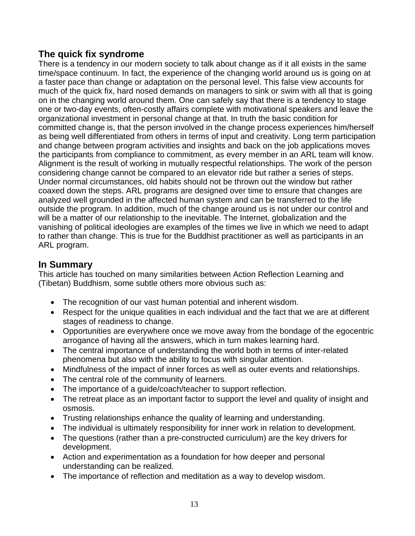## **The quick fix syndrome**

There is a tendency in our modern society to talk about change as if it all exists in the same time/space continuum. In fact, the experience of the changing world around us is going on at a faster pace than change or adaptation on the personal level. This false view accounts for much of the quick fix, hard nosed demands on managers to sink or swim with all that is going on in the changing world around them. One can safely say that there is a tendency to stage one or two-day events, often-costly affairs complete with motivational speakers and leave the organizational investment in personal change at that. In truth the basic condition for committed change is, that the person involved in the change process experiences him/herself as being well differentiated from others in terms of input and creativity. Long term participation and change between program activities and insights and back on the job applications moves the participants from compliance to commitment, as every member in an ARL team will know. Alignment is the result of working in mutually respectful relationships. The work of the person considering change cannot be compared to an elevator ride but rather a series of steps. Under normal circumstances, old habits should not be thrown out the window but rather coaxed down the steps. ARL programs are designed over time to ensure that changes are analyzed well grounded in the affected human system and can be transferred to the life outside the program. In addition, much of the change around us is not under our control and will be a matter of our relationship to the inevitable. The Internet, globalization and the vanishing of political ideologies are examples of the times we live in which we need to adapt to rather than change. This is true for the Buddhist practitioner as well as participants in an ARL program.

## **In Summary**

This article has touched on many similarities between Action Reflection Learning and (Tibetan) Buddhism, some subtle others more obvious such as:

- The recognition of our vast human potential and inherent wisdom.
- Respect for the unique qualities in each individual and the fact that we are at different stages of readiness to change.
- Opportunities are everywhere once we move away from the bondage of the egocentric arrogance of having all the answers, which in turn makes learning hard.
- The central importance of understanding the world both in terms of inter-related phenomena but also with the ability to focus with singular attention.
- Mindfulness of the impact of inner forces as well as outer events and relationships.
- The central role of the community of learners.
- The importance of a guide/coach/teacher to support reflection.
- The retreat place as an important factor to support the level and quality of insight and osmosis.
- Trusting relationships enhance the quality of learning and understanding.
- The individual is ultimately responsibility for inner work in relation to development.
- The questions (rather than a pre-constructed curriculum) are the key drivers for development.
- Action and experimentation as a foundation for how deeper and personal understanding can be realized.
- The importance of reflection and meditation as a way to develop wisdom.